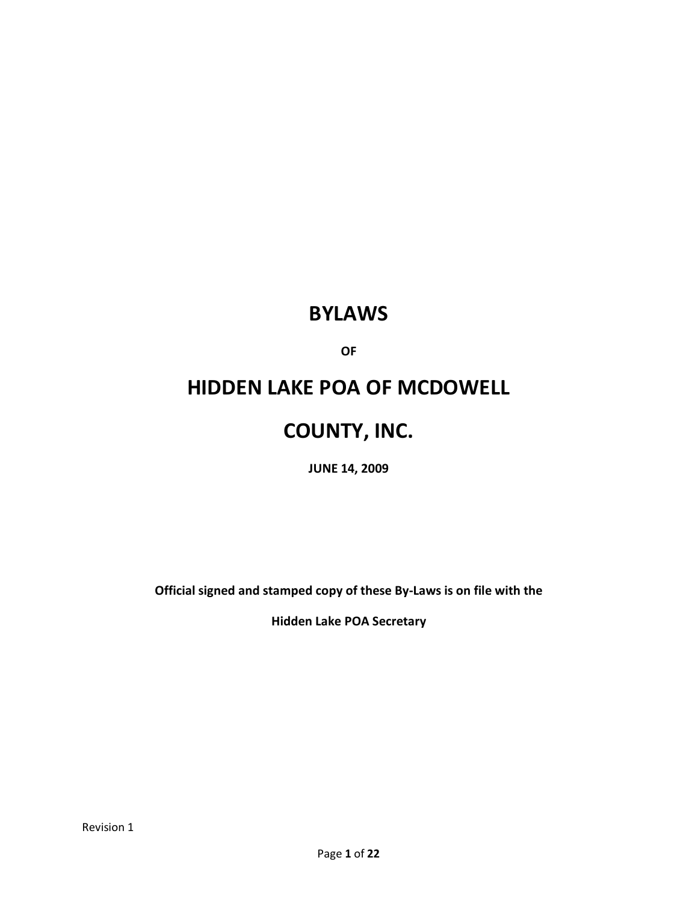# **BYLAWS**

**OF**

# **HIDDEN LAKE POA OF MCDOWELL**

# **COUNTY, INC.**

**JUNE 14, 2009**

**Official signed and stamped copy of these By-Laws is on file with the** 

**Hidden Lake POA Secretary**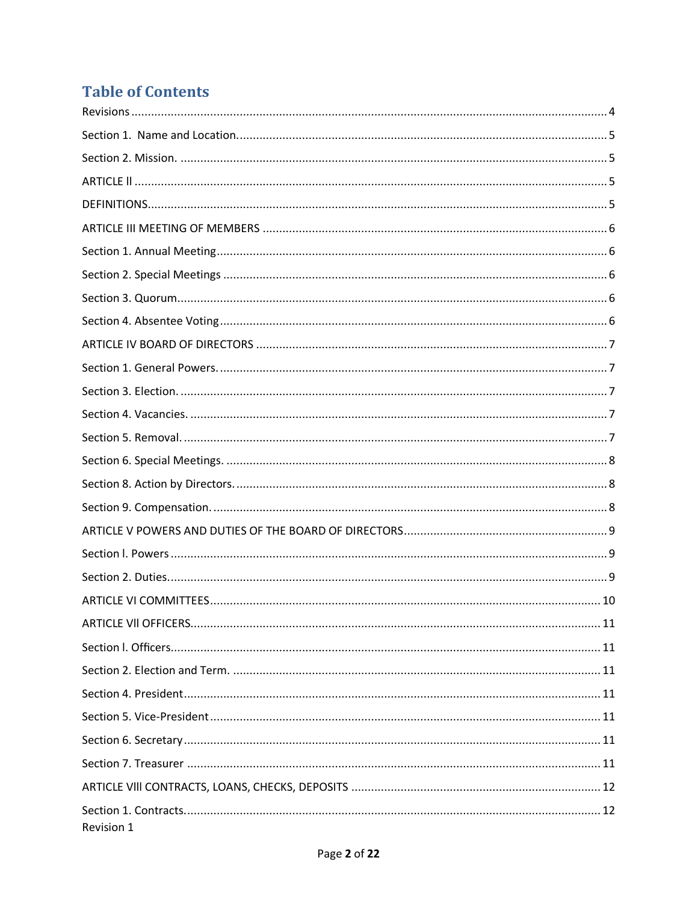# **Table of Contents**

| Revision 1 |
|------------|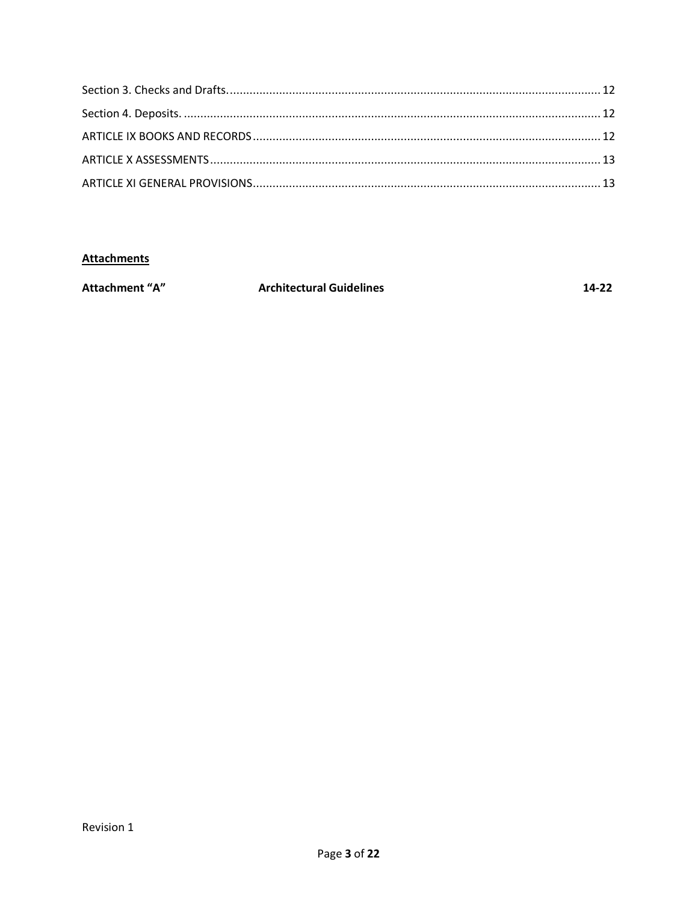### **Attachments**

| <b>Attachment "A"</b> | <b>Architectural Guidelines</b> | 14-22 |
|-----------------------|---------------------------------|-------|
|                       |                                 |       |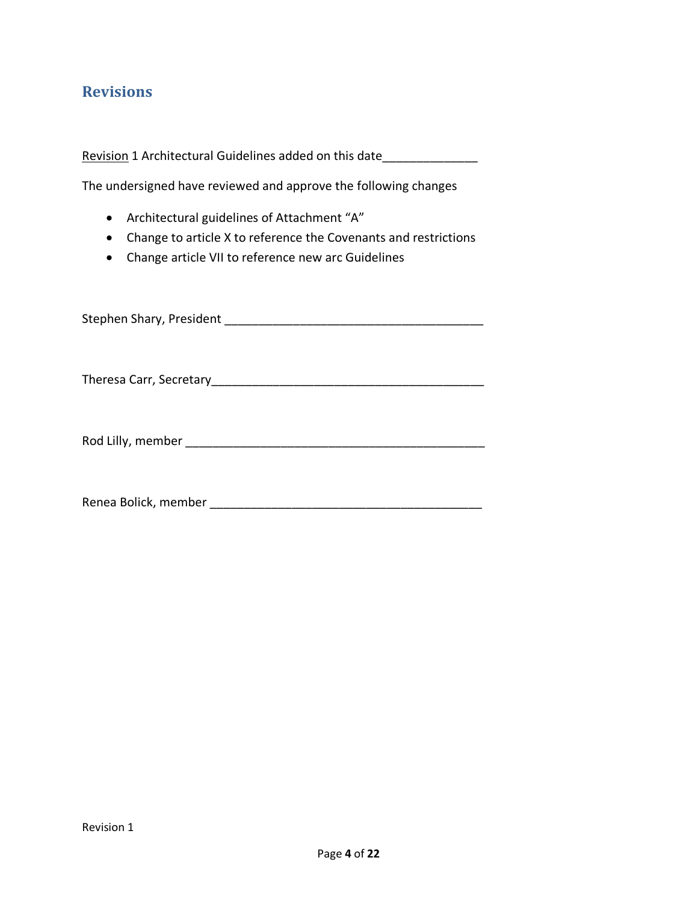### <span id="page-3-0"></span>**Revisions**

Revision 1 Architectural Guidelines added on this date

The undersigned have reviewed and approve the following changes

- Architectural guidelines of Attachment "A"
- Change to article X to reference the Covenants and restrictions
- Change article VII to reference new arc Guidelines

Stephen Shary, President \_\_\_\_\_\_\_\_\_\_\_\_\_\_\_\_\_\_\_\_\_\_\_\_\_\_\_\_\_\_\_\_\_\_\_\_\_\_

Theresa Carr, Secretary\_\_\_\_\_\_\_\_\_\_\_\_\_\_\_\_\_\_\_\_\_\_\_\_\_\_\_\_\_\_\_\_\_\_\_\_\_\_\_\_

Rod Lilly, member \_\_\_\_\_\_\_\_\_\_\_\_\_\_\_\_\_\_\_\_\_\_\_\_\_\_\_\_\_\_\_\_\_\_\_\_\_\_\_\_\_\_\_\_

Renea Bolick, member \_\_\_\_\_\_\_\_\_\_\_\_\_\_\_\_\_\_\_\_\_\_\_\_\_\_\_\_\_\_\_\_\_\_\_\_\_\_\_\_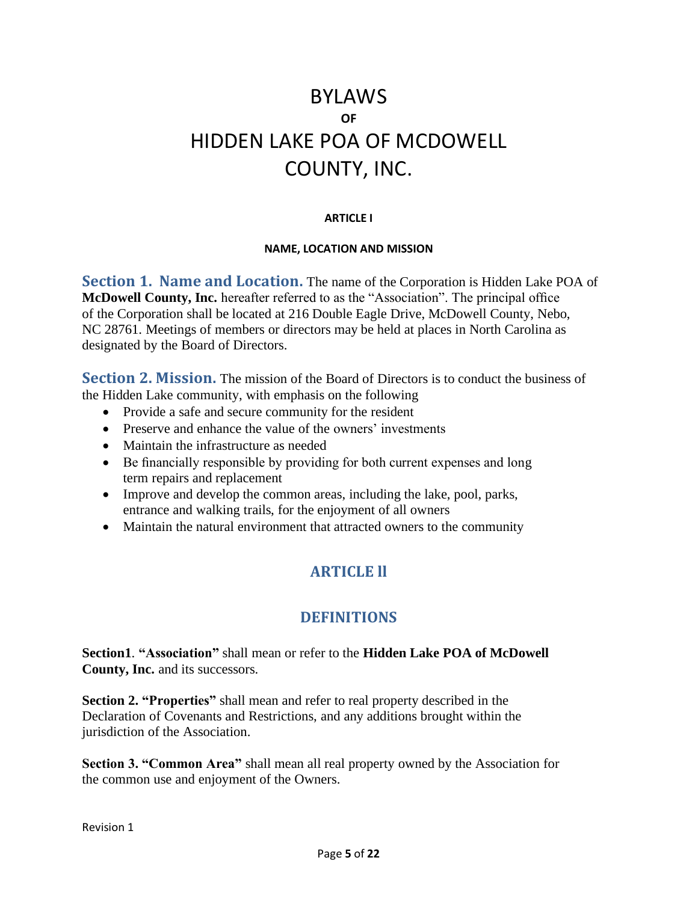# BYLAWS **OF** HIDDEN LAKE POA OF MCDOWELL COUNTY, INC.

#### **ARTICLE I**

#### **NAME, LOCATION AND MISSION**

<span id="page-4-0"></span>**Section 1. Name and Location.** The name of the Corporation is Hidden Lake POA of **McDowell County, Inc.** hereafter referred to as the "Association". The principal office of the Corporation shall be located at 216 Double Eagle Drive, McDowell County, Nebo, NC 28761. Meetings of members or directors may be held at places in North Carolina as designated by the Board of Directors.

<span id="page-4-1"></span>**Section 2. Mission.** The mission of the Board of Directors is to conduct the business of the Hidden Lake community, with emphasis on the following

- Provide a safe and secure community for the resident
- Preserve and enhance the value of the owners' investments
- Maintain the infrastructure as needed
- Be financially responsible by providing for both current expenses and long term repairs and replacement
- Improve and develop the common areas, including the lake, pool, parks, entrance and walking trails, for the enjoyment of all owners
- <span id="page-4-3"></span><span id="page-4-2"></span>• Maintain the natural environment that attracted owners to the community

### **ARTICLE ll**

#### **DEFINITIONS**

**Section1**. **"Association"** shall mean or refer to the **Hidden Lake POA of McDowell County, Inc.** and its successors.

**Section 2. "Properties"** shall mean and refer to real property described in the Declaration of Covenants and Restrictions, and any additions brought within the jurisdiction of the Association.

**Section 3. "Common Area"** shall mean all real property owned by the Association for the common use and enjoyment of the Owners.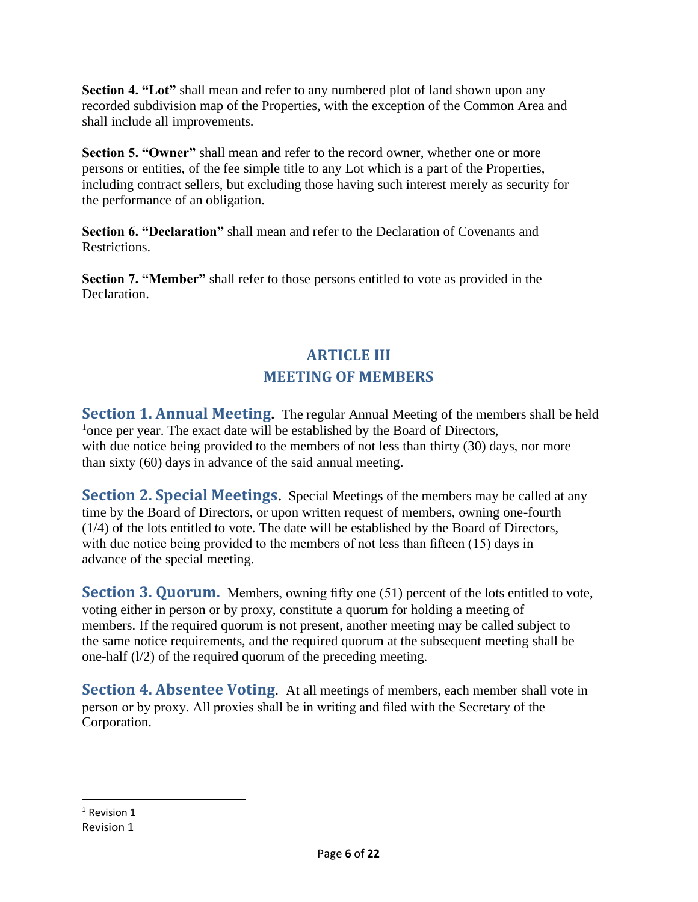**Section 4. "Lot"** shall mean and refer to any numbered plot of land shown upon any recorded subdivision map of the Properties, with the exception of the Common Area and shall include all improvements.

**Section 5. "Owner"** shall mean and refer to the record owner, whether one or more persons or entities, of the fee simple title to any Lot which is a part of the Properties, including contract sellers, but excluding those having such interest merely as security for the performance of an obligation.

**Section 6. "Declaration"** shall mean and refer to the Declaration of Covenants and **Restrictions** 

<span id="page-5-0"></span>**Section 7. "Member"** shall refer to those persons entitled to vote as provided in the Declaration.

### **ARTICLE III MEETING OF MEMBERS**

<span id="page-5-1"></span>**Section 1. Annual Meeting.** The regular Annual Meeting of the members shall be held <sup>1</sup>once per year. The exact date will be established by the Board of Directors, with due notice being provided to the members of not less than thirty (30) days, nor more than sixty (60) days in advance of the said annual meeting.

<span id="page-5-2"></span>**Section 2. Special Meetings.** Special Meetings of the members may be called at any time by the Board of Directors, or upon written request of members, owning one-fourth (1/4) of the lots entitled to vote. The date will be established by the Board of Directors, with due notice being provided to the members of not less than fifteen (15) days in advance of the special meeting.

<span id="page-5-3"></span>**Section 3. Quorum.** Members, owning fifty one (51) percent of the lots entitled to vote, voting either in person or by proxy, constitute a quorum for holding a meeting of members. If the required quorum is not present, another meeting may be called subject to the same notice requirements, and the required quorum at the subsequent meeting shall be one-half (l/2) of the required quorum of the preceding meeting.

<span id="page-5-4"></span>**Section 4. Absentee Voting.** At all meetings of members, each member shall vote in person or by proxy. All proxies shall be in writing and filed with the Secretary of the Corporation.

Revision 1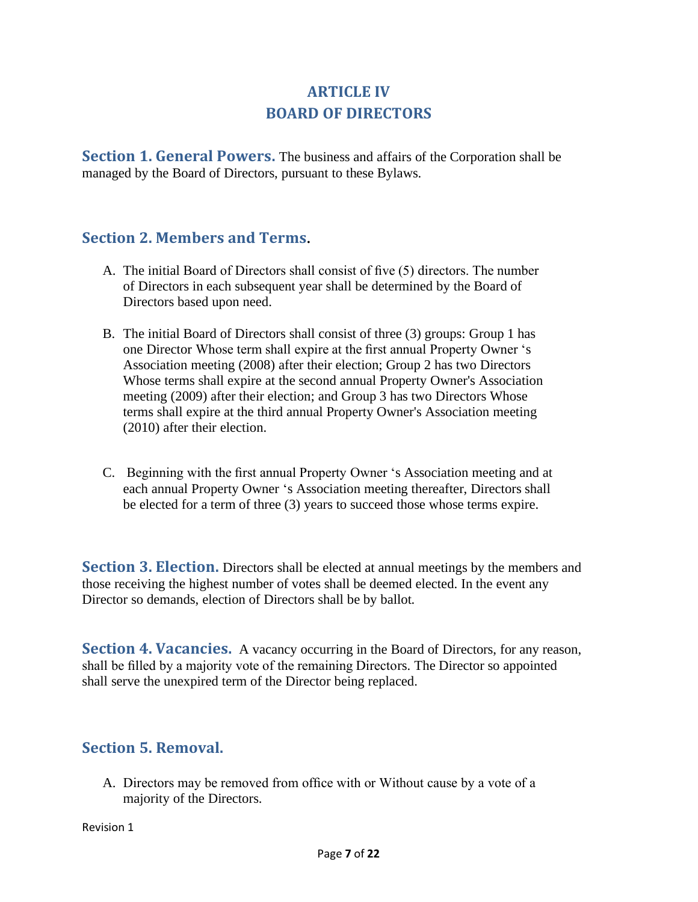### **ARTICLE IV BOARD OF DIRECTORS**

<span id="page-6-1"></span><span id="page-6-0"></span>**Section 1. General Powers.** The business and affairs of the Corporation shall be managed by the Board of Directors, pursuant to these Bylaws.

#### **Section 2. Members and Terms.**

- A. The initial Board of Directors shall consist of five (5) directors. The number of Directors in each subsequent year shall be determined by the Board of Directors based upon need.
- B. The initial Board of Directors shall consist of three (3) groups: Group 1 has one Director Whose term shall expire at the first annual Property Owner 's Association meeting (2008) after their election; Group 2 has two Directors Whose terms shall expire at the second annual Property Owner's Association meeting (2009) after their election; and Group 3 has two Directors Whose terms shall expire at the third annual Property Owner's Association meeting (2010) after their election.
- C. Beginning with the first annual Property Owner 's Association meeting and at each annual Property Owner 's Association meeting thereafter, Directors shall be elected for a term of three (3) years to succeed those whose terms expire.

<span id="page-6-2"></span>Section 3. Election. Directors shall be elected at annual meetings by the members and those receiving the highest number of votes shall be deemed elected. In the event any Director so demands, election of Directors shall be by ballot.

<span id="page-6-3"></span>**Section 4. Vacancies.** A vacancy occurring in the Board of Directors, for any reason, shall be filled by a majority vote of the remaining Directors. The Director so appointed shall serve the unexpired term of the Director being replaced.

#### <span id="page-6-4"></span>**Section 5. Removal.**

A. Directors may be removed from office with or Without cause by a vote of a majority of the Directors.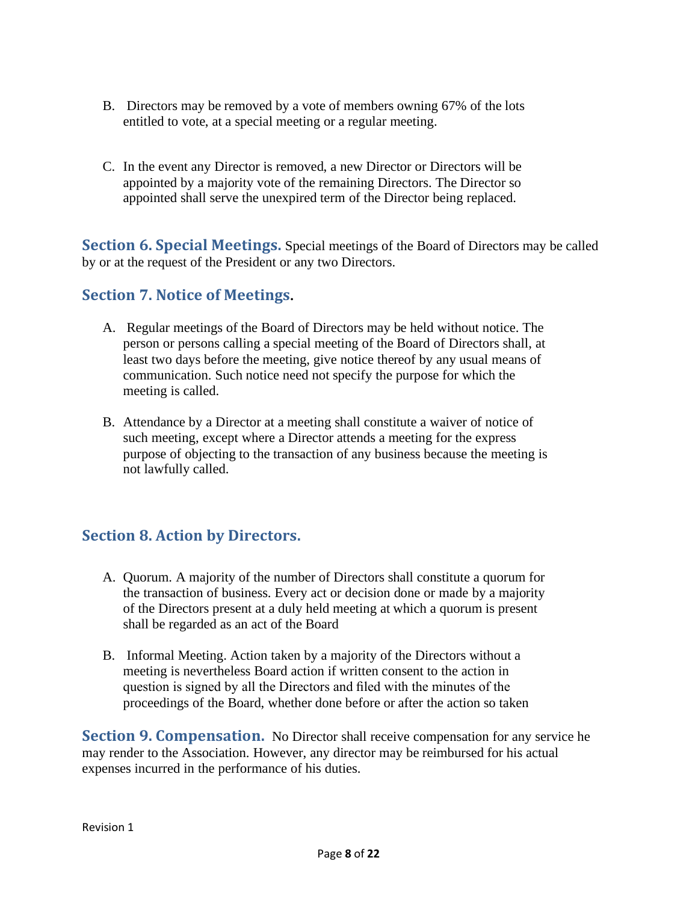- B. Directors may be removed by a vote of members owning 67% of the lots entitled to vote, at a special meeting or a regular meeting.
- C. In the event any Director is removed, a new Director or Directors will be appointed by a majority vote of the remaining Directors. The Director so appointed shall serve the unexpired term of the Director being replaced.

<span id="page-7-0"></span>**Section 6. Special Meetings.** Special meetings of the Board of Directors may be called by or at the request of the President or any two Directors.

### **Section 7. Notice of Meetings.**

- A. Regular meetings of the Board of Directors may be held without notice. The person or persons calling a special meeting of the Board of Directors shall, at least two days before the meeting, give notice thereof by any usual means of communication. Such notice need not specify the purpose for which the meeting is called.
- B. Attendance by a Director at a meeting shall constitute a waiver of notice of such meeting, except where a Director attends a meeting for the express purpose of objecting to the transaction of any business because the meeting is not lawfully called.

### <span id="page-7-1"></span>**Section 8. Action by Directors.**

- A. Quorum. A majority of the number of Directors shall constitute a quorum for the transaction of business. Every act or decision done or made by a majority of the Directors present at a duly held meeting at which a quorum is present shall be regarded as an act of the Board
- B. Informal Meeting. Action taken by a majority of the Directors without a meeting is nevertheless Board action if written consent to the action in question is signed by all the Directors and filed with the minutes of the proceedings of the Board, whether done before or after the action so taken

<span id="page-7-2"></span>**Section 9. Compensation.** No Director shall receive compensation for any service he may render to the Association. However, any director may be reimbursed for his actual expenses incurred in the performance of his duties.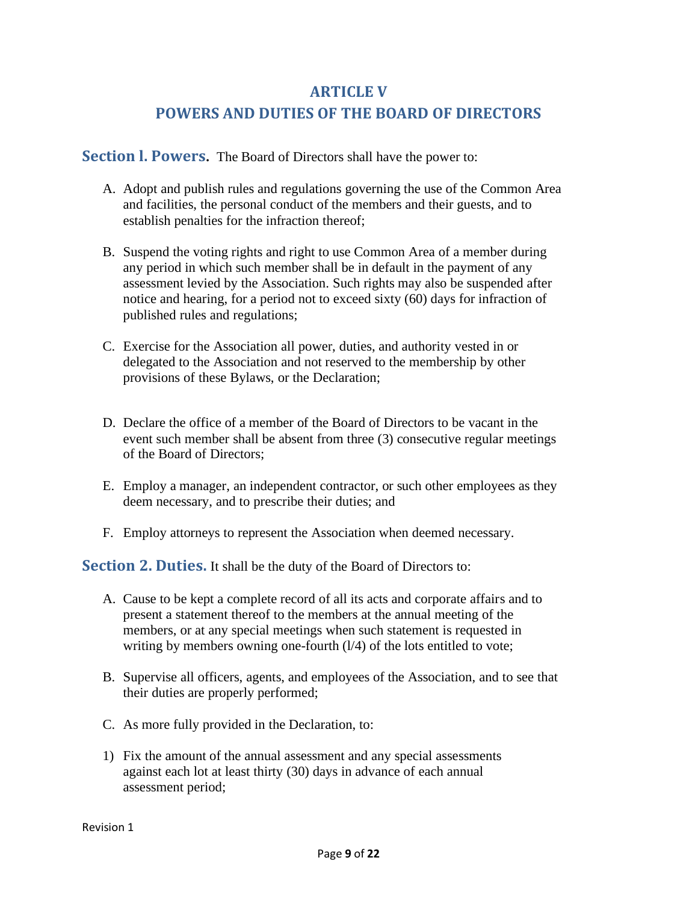### **ARTICLE V**

### **POWERS AND DUTIES OF THE BOARD OF DIRECTORS**

<span id="page-8-1"></span><span id="page-8-0"></span>**Section l. Powers.** The Board of Directors shall have the power to:

- A. Adopt and publish rules and regulations governing the use of the Common Area and facilities, the personal conduct of the members and their guests, and to establish penalties for the infraction thereof;
- B. Suspend the voting rights and right to use Common Area of a member during any period in which such member shall be in default in the payment of any assessment levied by the Association. Such rights may also be suspended after notice and hearing, for a period not to exceed sixty (60) days for infraction of published rules and regulations;
- C. Exercise for the Association all power, duties, and authority vested in or delegated to the Association and not reserved to the membership by other provisions of these Bylaws, or the Declaration;
- D. Declare the office of a member of the Board of Directors to be vacant in the event such member shall be absent from three (3) consecutive regular meetings of the Board of Directors;
- E. Employ a manager, an independent contractor, or such other employees as they deem necessary, and to prescribe their duties; and
- F. Employ attorneys to represent the Association when deemed necessary.

<span id="page-8-2"></span>**Section 2. Duties.** It shall be the duty of the Board of Directors to:

- A. Cause to be kept a complete record of all its acts and corporate affairs and to present a statement thereof to the members at the annual meeting of the members, or at any special meetings when such statement is requested in writing by members owning one-fourth  $(1/4)$  of the lots entitled to vote;
- B. Supervise all officers, agents, and employees of the Association, and to see that their duties are properly performed;
- C. As more fully provided in the Declaration, to:
- 1) Fix the amount of the annual assessment and any special assessments against each lot at least thirty (30) days in advance of each annual assessment period;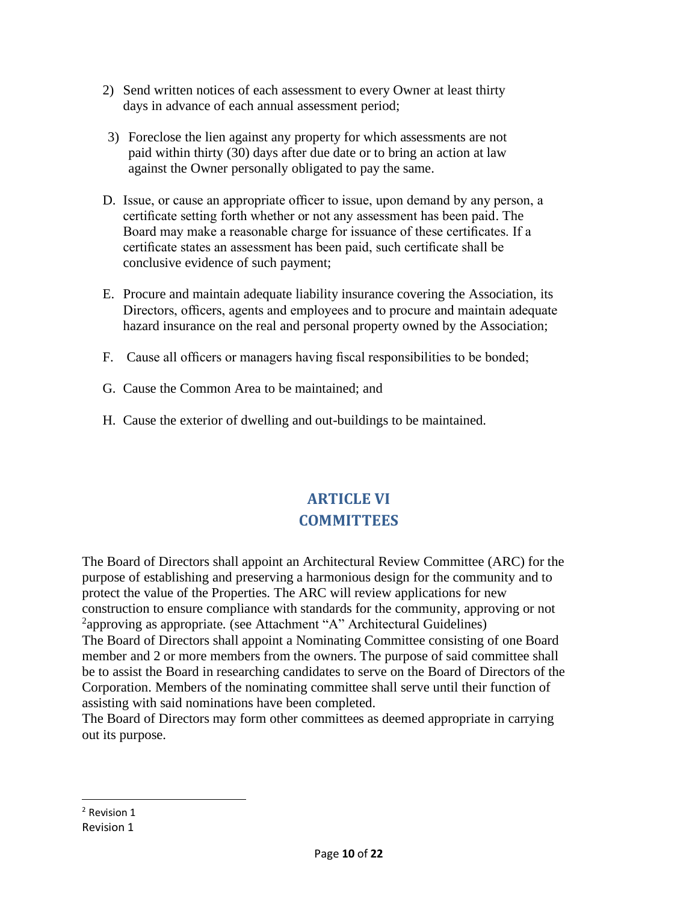- 2) Send written notices of each assessment to every Owner at least thirty days in advance of each annual assessment period;
- 3) Foreclose the lien against any property for which assessments are not paid within thirty (30) days after due date or to bring an action at law against the Owner personally obligated to pay the same.
- D. Issue, or cause an appropriate officer to issue, upon demand by any person, a certificate setting forth whether or not any assessment has been paid. The Board may make a reasonable charge for issuance of these certificates. If a certificate states an assessment has been paid, such certificate shall be conclusive evidence of such payment;
- E. Procure and maintain adequate liability insurance covering the Association, its Directors, officers, agents and employees and to procure and maintain adequate hazard insurance on the real and personal property owned by the Association;
- F. Cause all officers or managers having fiscal responsibilities to be bonded;
- G. Cause the Common Area to be maintained; and
- <span id="page-9-0"></span>H. Cause the exterior of dwelling and out-buildings to be maintained.

## **ARTICLE VI COMMITTEES**

The Board of Directors shall appoint an Architectural Review Committee (ARC) for the purpose of establishing and preserving a harmonious design for the community and to protect the value of the Properties. The ARC will review applications for new construction to ensure compliance with standards for the community, approving or not <sup>2</sup>approving as appropriate. (see Attachment "A" Architectural Guidelines) The Board of Directors shall appoint a Nominating Committee consisting of one Board member and 2 or more members from the owners. The purpose of said committee shall be to assist the Board in researching candidates to serve on the Board of Directors of the Corporation. Members of the nominating committee shall serve until their function of assisting with said nominations have been completed.

The Board of Directors may form other committees as deemed appropriate in carrying out its purpose.

Revision 1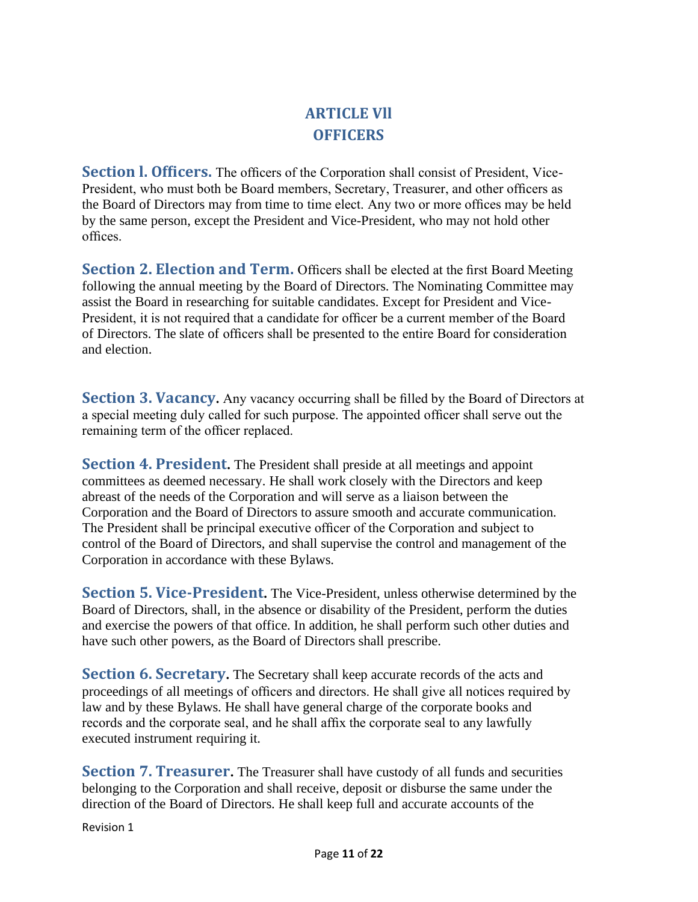## **ARTICLE Vll OFFICERS**

<span id="page-10-1"></span><span id="page-10-0"></span>Section I. Officers. The officers of the Corporation shall consist of President, Vice-President, who must both be Board members, Secretary, Treasurer, and other officers as the Board of Directors may from time to time elect. Any two or more offices may be held by the same person, except the President and Vice-President, who may not hold other offices.

<span id="page-10-2"></span>**Section 2. Election and Term.** Officers shall be elected at the first Board Meeting following the annual meeting by the Board of Directors. The Nominating Committee may assist the Board in researching for suitable candidates. Except for President and Vice-President, it is not required that a candidate for officer be a current member of the Board of Directors. The slate of officers shall be presented to the entire Board for consideration and election.

**Section 3. Vacancy.** Any vacancy occurring shall be filled by the Board of Directors at a special meeting duly called for such purpose. The appointed officer shall serve out the remaining term of the officer replaced.

<span id="page-10-3"></span>**Section 4. President.** The President shall preside at all meetings and appoint committees as deemed necessary. He shall work closely with the Directors and keep abreast of the needs of the Corporation and will serve as a liaison between the Corporation and the Board of Directors to assure smooth and accurate communication. The President shall be principal executive officer of the Corporation and subject to control of the Board of Directors, and shall supervise the control and management of the Corporation in accordance with these Bylaws.

<span id="page-10-4"></span>**Section 5. Vice-President.** The Vice-President, unless otherwise determined by the Board of Directors, shall, in the absence or disability of the President, perform the duties and exercise the powers of that office. In addition, he shall perform such other duties and have such other powers, as the Board of Directors shall prescribe.

<span id="page-10-5"></span>**Section 6. Secretary.** The Secretary shall keep accurate records of the acts and proceedings of all meetings of officers and directors. He shall give all notices required by law and by these Bylaws. He shall have general charge of the corporate books and records and the corporate seal, and he shall affix the corporate seal to any lawfully executed instrument requiring it.

<span id="page-10-6"></span>**Section 7. Treasurer.** The Treasurer shall have custody of all funds and securities belonging to the Corporation and shall receive, deposit or disburse the same under the direction of the Board of Directors. He shall keep full and accurate accounts of the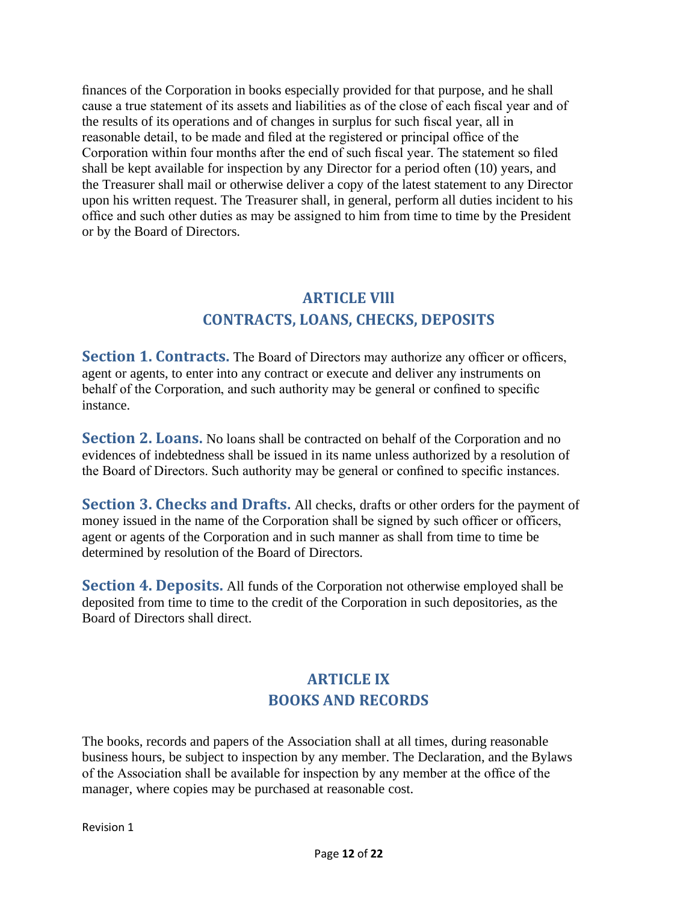finances of the Corporation in books especially provided for that purpose, and he shall cause a true statement of its assets and liabilities as of the close of each fiscal year and of the results of its operations and of changes in surplus for such fiscal year, all in reasonable detail, to be made and filed at the registered or principal office of the Corporation within four months after the end of such fiscal year. The statement so filed shall be kept available for inspection by any Director for a period often (10) years, and the Treasurer shall mail or otherwise deliver a copy of the latest statement to any Director upon his written request. The Treasurer shall, in general, perform all duties incident to his office and such other duties as may be assigned to him from time to time by the President or by the Board of Directors.

### **ARTICLE Vlll CONTRACTS, LOANS, CHECKS, DEPOSITS**

<span id="page-11-1"></span><span id="page-11-0"></span>**Section 1. Contracts.** The Board of Directors may authorize any officer or officers, agent or agents, to enter into any contract or execute and deliver any instruments on behalf of the Corporation, and such authority may be general or confined to specific instance.

**Section 2. Loans.** No loans shall be contracted on behalf of the Corporation and no evidences of indebtedness shall be issued in its name unless authorized by a resolution of the Board of Directors. Such authority may be general or confined to specific instances.

<span id="page-11-2"></span>**Section 3. Checks and Drafts.** All checks, drafts or other orders for the payment of money issued in the name of the Corporation shall be signed by such officer or officers, agent or agents of the Corporation and in such manner as shall from time to time be determined by resolution of the Board of Directors.

<span id="page-11-4"></span><span id="page-11-3"></span>**Section 4. Deposits.** All funds of the Corporation not otherwise employed shall be deposited from time to time to the credit of the Corporation in such depositories, as the Board of Directors shall direct.

### **ARTICLE IX BOOKS AND RECORDS**

The books, records and papers of the Association shall at all times, during reasonable business hours, be subject to inspection by any member. The Declaration, and the Bylaws of the Association shall be available for inspection by any member at the office of the manager, where copies may be purchased at reasonable cost.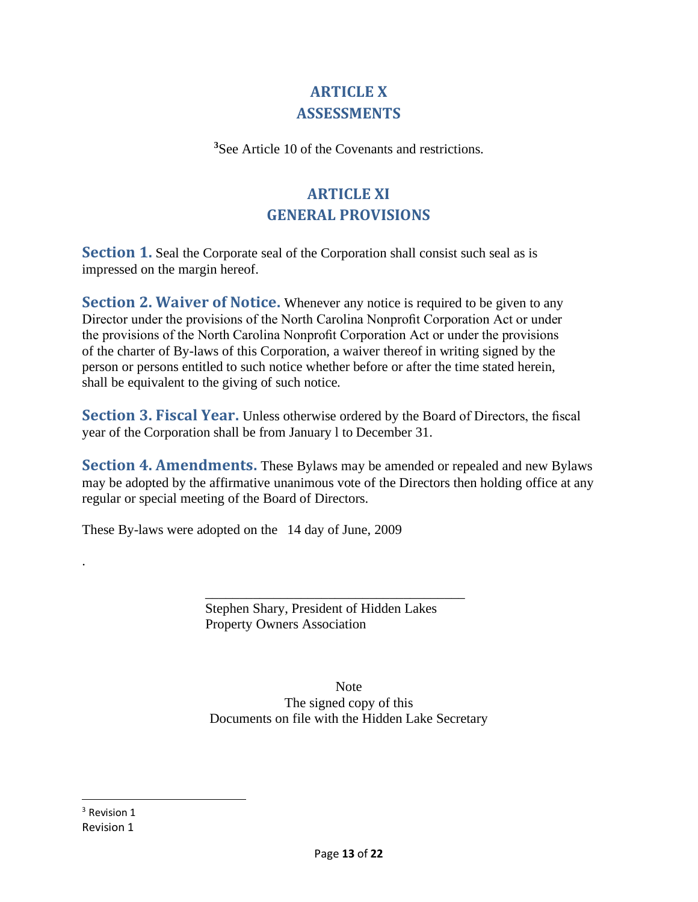### **ARTICLE X ASSESSMENTS**

<span id="page-12-0"></span>**<sup>3</sup>**See Article 10 of the Covenants and restrictions.

## **ARTICLE XI GENERAL PROVISIONS**

<span id="page-12-1"></span>**Section 1.** Seal the Corporate seal of the Corporation shall consist such seal as is impressed on the margin hereof.

**Section 2. Waiver of Notice.** Whenever any notice is required to be given to any Director under the provisions of the North Carolina Nonprofit Corporation Act or under the provisions of the North Carolina Nonprofit Corporation Act or under the provisions of the charter of By-laws of this Corporation, a waiver thereof in writing signed by the person or persons entitled to such notice whether before or after the time stated herein, shall be equivalent to the giving of such notice.

**Section 3. Fiscal Year.** Unless otherwise ordered by the Board of Directors, the fiscal year of the Corporation shall be from January l to December 31.

**Section 4. Amendments.** These Bylaws may be amended or repealed and new Bylaws may be adopted by the affirmative unanimous vote of the Directors then holding office at any regular or special meeting of the Board of Directors.

These By-laws were adopted on the 14 day of June, 2009

Stephen Shary, President of Hidden Lakes Property Owners Association

\_\_\_\_\_\_\_\_\_\_\_\_\_\_\_\_\_\_\_\_\_\_\_\_\_\_\_\_\_\_\_\_\_\_\_\_\_\_

Note The signed copy of this Documents on file with the Hidden Lake Secretary

Revision 1 <sup>3</sup> Revision 1

.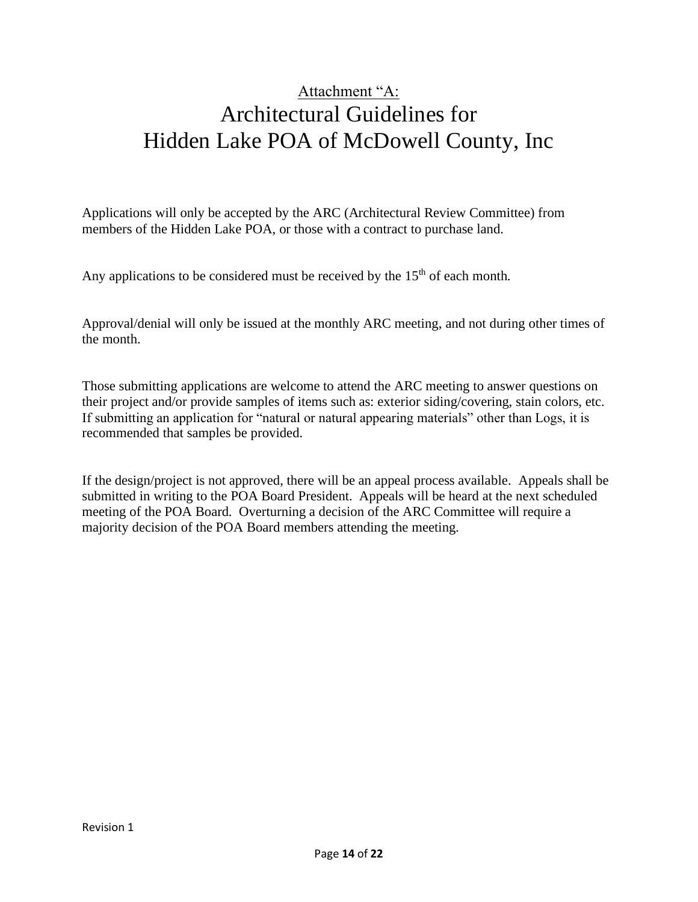# Attachment "A: Architectural Guidelines for Hidden Lake POA of McDowell County, Inc

Applications will only be accepted by the ARC (Architectural Review Committee) from members of the Hidden Lake POA, or those with a contract to purchase land.

Any applications to be considered must be received by the  $15<sup>th</sup>$  of each month.

Approval/denial will only be issued at the monthly ARC meeting, and not during other times of the month.

Those submitting applications are welcome to attend the ARC meeting to answer questions on their project and/or provide samples of items such as: exterior siding/covering, stain colors, etc. If submitting an application for "natural or natural appearing materials" other than Logs, it is recommended that samples be provided.

If the design/project is not approved, there will be an appeal process available. Appeals shall be submitted in writing to the POA Board President. Appeals will be heard at the next scheduled meeting of the POA Board. Overturning a decision of the ARC Committee will require a majority decision of the POA Board members attending the meeting.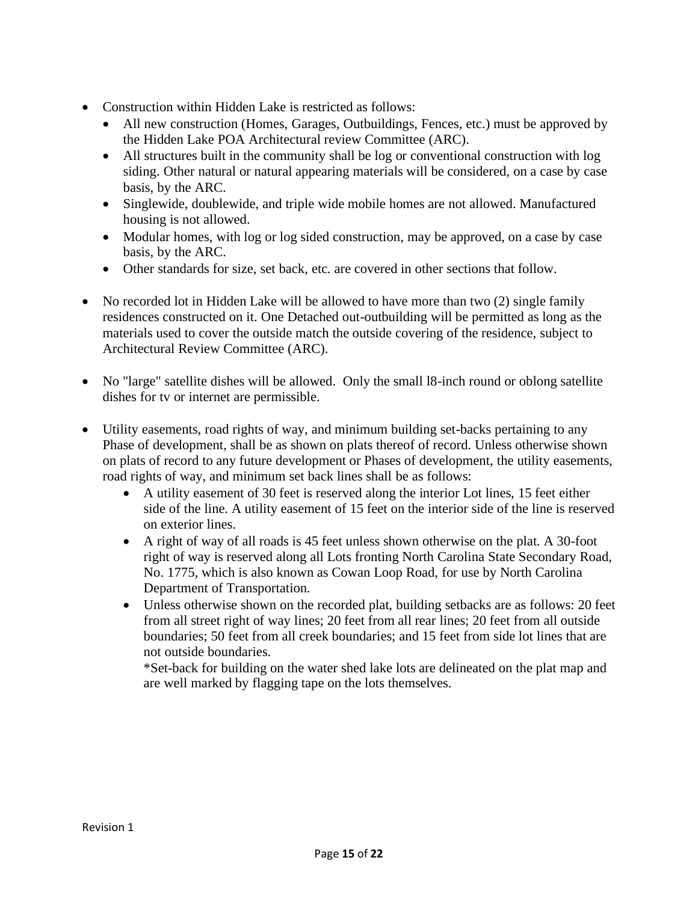- Construction within Hidden Lake is restricted as follows:
	- All new construction (Homes, Garages, Outbuildings, Fences, etc.) must be approved by the Hidden Lake POA Architectural review Committee (ARC).
	- All structures built in the community shall be log or conventional construction with log siding. Other natural or natural appearing materials will be considered, on a case by case basis, by the ARC.
	- Singlewide, doublewide, and triple wide mobile homes are not allowed. Manufactured housing is not allowed.
	- Modular homes, with log or log sided construction, may be approved, on a case by case basis, by the ARC.
	- Other standards for size, set back, etc. are covered in other sections that follow.
- No recorded lot in Hidden Lake will be allowed to have more than two (2) single family residences constructed on it. One Detached out-outbuilding will be permitted as long as the materials used to cover the outside match the outside covering of the residence, subject to Architectural Review Committee (ARC).
- No "large" satellite dishes will be allowed. Only the small 18-inch round or oblong satellite dishes for tv or internet are permissible.
- Utility easements, road rights of way, and minimum building set-backs pertaining to any Phase of development, shall be as shown on plats thereof of record. Unless otherwise shown on plats of record to any future development or Phases of development, the utility easements, road rights of way, and minimum set back lines shall be as follows:
	- A utility easement of 30 feet is reserved along the interior Lot lines, 15 feet either side of the line. A utility easement of 15 feet on the interior side of the line is reserved on exterior lines.
	- A right of way of all roads is 45 feet unless shown otherwise on the plat. A 30-foot right of way is reserved along all Lots fronting North Carolina State Secondary Road, No. 1775, which is also known as Cowan Loop Road, for use by North Carolina Department of Transportation.
	- Unless otherwise shown on the recorded plat, building setbacks are as follows: 20 feet from all street right of way lines; 20 feet from all rear lines; 20 feet from all outside boundaries; 50 feet from all creek boundaries; and 15 feet from side lot lines that are not outside boundaries.

\*Set-back for building on the water shed lake lots are delineated on the plat map and are well marked by flagging tape on the lots themselves.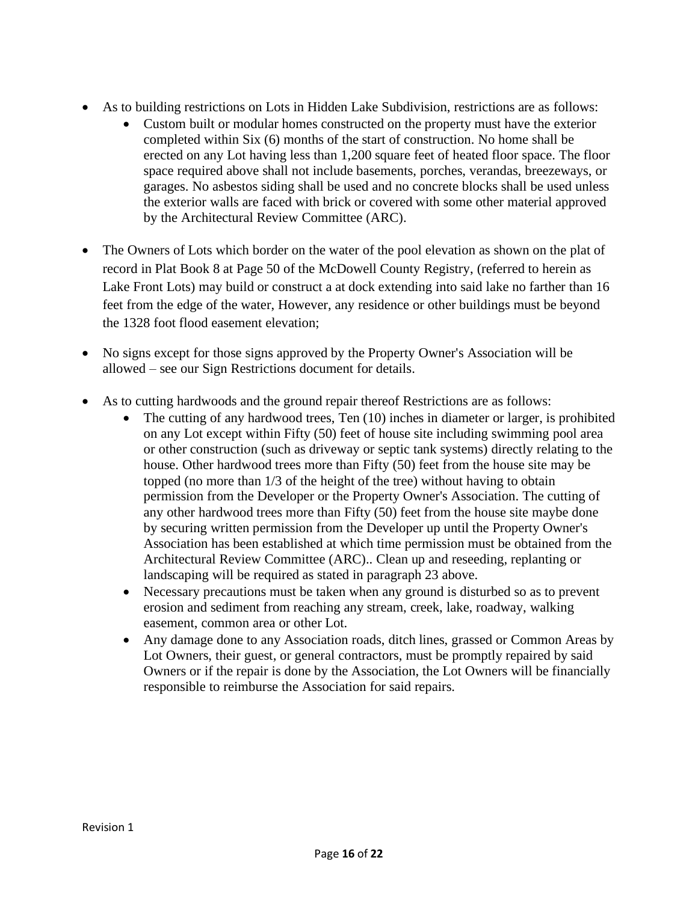- As to building restrictions on Lots in Hidden Lake Subdivision, restrictions are as follows:
	- Custom built or modular homes constructed on the property must have the exterior completed within Six (6) months of the start of construction. No home shall be erected on any Lot having less than 1,200 square feet of heated floor space. The floor space required above shall not include basements, porches, verandas, breezeways, or garages. No asbestos siding shall be used and no concrete blocks shall be used unless the exterior walls are faced with brick or covered with some other material approved by the Architectural Review Committee (ARC).
- The Owners of Lots which border on the water of the pool elevation as shown on the plat of record in Plat Book 8 at Page 50 of the McDowell County Registry, (referred to herein as Lake Front Lots) may build or construct a at dock extending into said lake no farther than 16 feet from the edge of the water, However, any residence or other buildings must be beyond the 1328 foot flood easement elevation;
- No signs except for those signs approved by the Property Owner's Association will be allowed – see our Sign Restrictions document for details.
- As to cutting hardwoods and the ground repair thereof Restrictions are as follows:
	- The cutting of any hardwood trees, Ten (10) inches in diameter or larger, is prohibited on any Lot except within Fifty (50) feet of house site including swimming pool area or other construction (such as driveway or septic tank systems) directly relating to the house. Other hardwood trees more than Fifty (50) feet from the house site may be topped (no more than 1/3 of the height of the tree) without having to obtain permission from the Developer or the Property Owner's Association. The cutting of any other hardwood trees more than Fifty (50) feet from the house site maybe done by securing written permission from the Developer up until the Property Owner's Association has been established at which time permission must be obtained from the Architectural Review Committee (ARC).. Clean up and reseeding, replanting or landscaping will be required as stated in paragraph 23 above.
	- Necessary precautions must be taken when any ground is disturbed so as to prevent erosion and sediment from reaching any stream, creek, lake, roadway, walking easement, common area or other Lot.
	- Any damage done to any Association roads, ditch lines, grassed or Common Areas by Lot Owners, their guest, or general contractors, must be promptly repaired by said Owners or if the repair is done by the Association, the Lot Owners will be financially responsible to reimburse the Association for said repairs.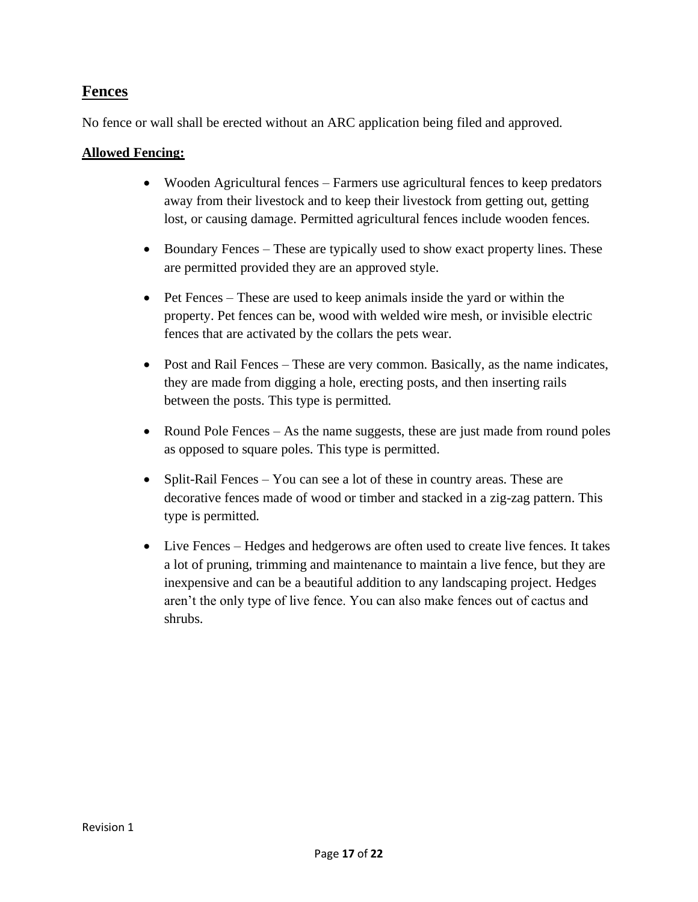### **Fences**

No fence or wall shall be erected without an ARC application being filed and approved.

#### **Allowed Fencing:**

- Wooden Agricultural fences Farmers use agricultural fences to keep predators away from their livestock and to keep their livestock from getting out, getting lost, or causing damage. Permitted agricultural fences include wooden fences.
- Boundary Fences These are typically used to show exact property lines. These are permitted provided they are an approved style.
- Pet Fences These are used to keep animals inside the yard or within the property. Pet fences can be, wood with welded wire mesh, or invisible electric fences that are activated by the collars the pets wear.
- Post and Rail Fences These are very common. Basically, as the name indicates, they are made from digging a hole, erecting posts, and then inserting rails between the posts. This type is permitted.
- Round Pole Fences As the name suggests, these are just made from round poles as opposed to square poles. This type is permitted.
- Split-Rail Fences You can see a lot of these in country areas. These are decorative fences made of wood or timber and stacked in a zig-zag pattern. This type is permitted.
- Live Fences Hedges and hedgerows are often used to create live fences. It takes a lot of pruning, trimming and maintenance to maintain a live fence, but they are inexpensive and can be a beautiful addition to any landscaping project. Hedges aren't the only type of live fence. You can also make fences out of cactus and shrubs.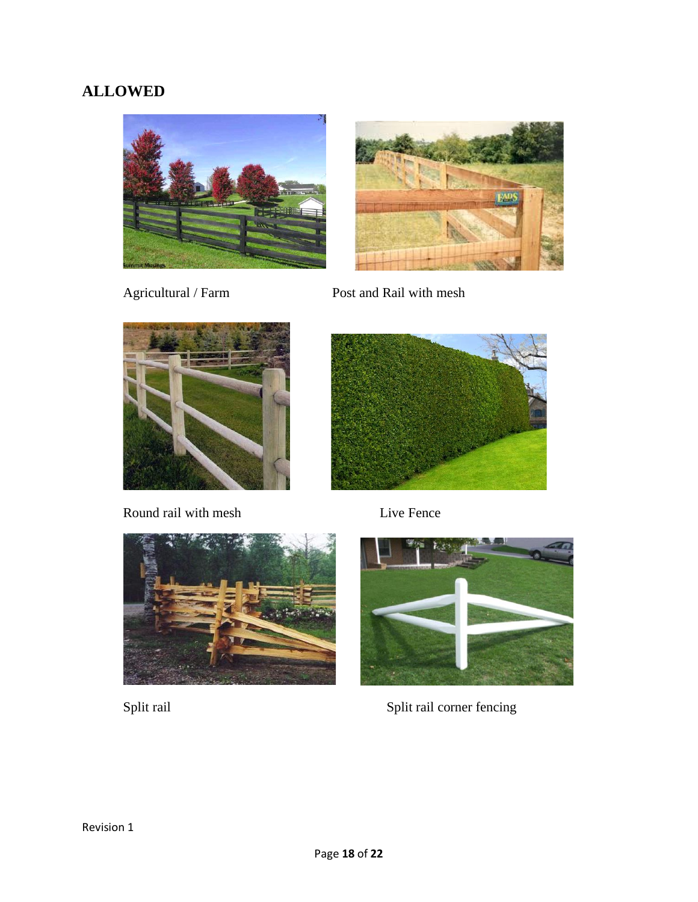## **ALLOWED**





Agricultural / Farm Post and Rail with mesh



Round rail with mesh Live Fence







Split rail Split rail corner fencing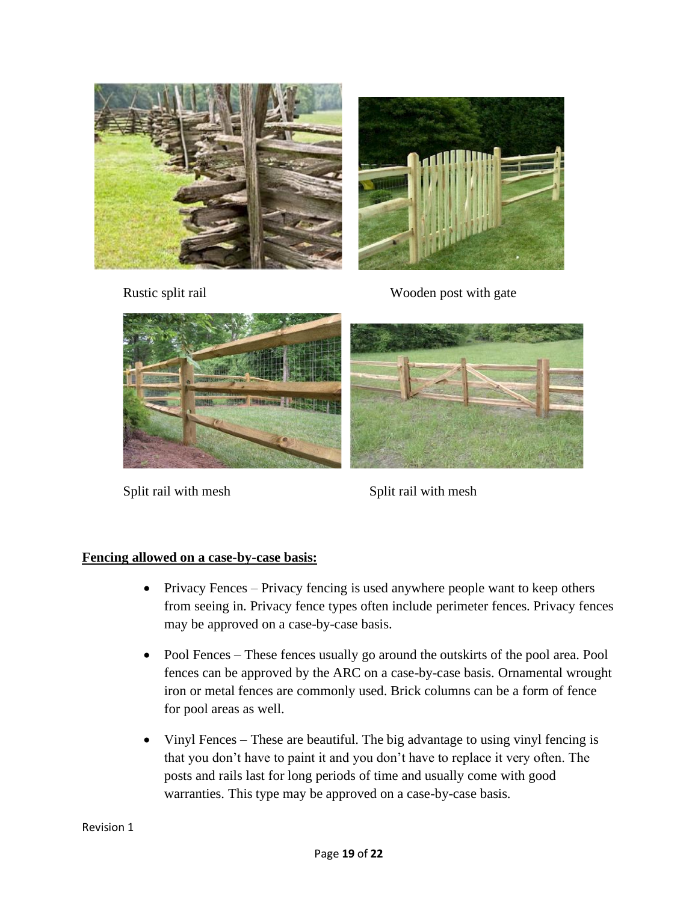



Rustic split rail Wooden post with gate



Split rail with mesh Split rail with mesh

#### **Fencing allowed on a case-by-case basis:**

- Privacy Fences Privacy fencing is used anywhere people want to keep others from seeing in. Privacy fence types often include perimeter fences. Privacy fences may be approved on a case-by-case basis.
- Pool Fences These fences usually go around the outskirts of the pool area. Pool fences can be approved by the ARC on a case-by-case basis. Ornamental wrought iron or metal fences are commonly used. Brick columns can be a form of fence for pool areas as well.
- Vinyl Fences These are beautiful. The big advantage to using vinyl fencing is that you don't have to paint it and you don't have to replace it very often. The posts and rails last for long periods of time and usually come with good warranties. This type may be approved on a case-by-case basis.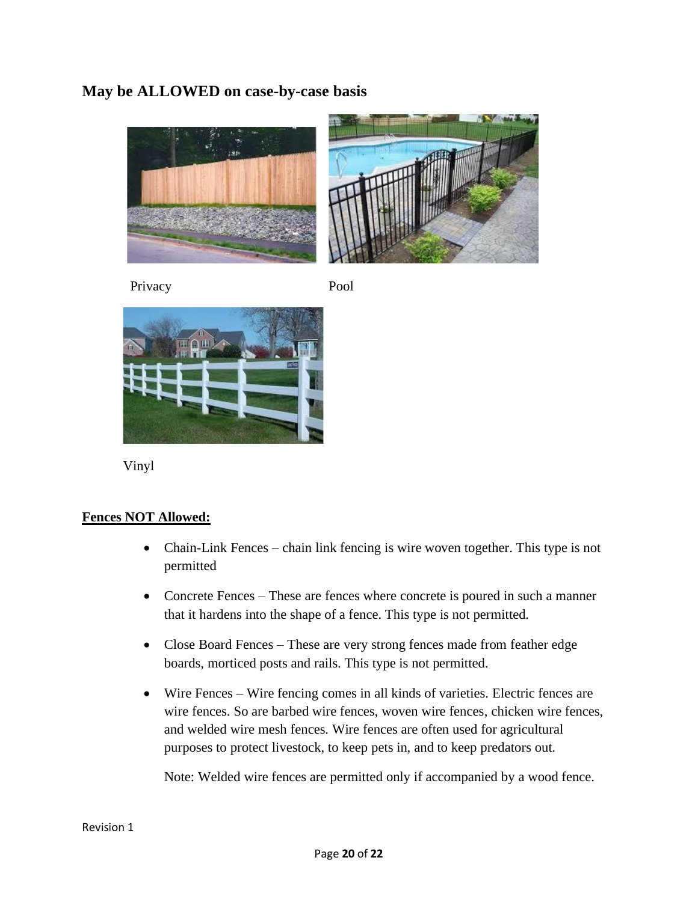### **May be ALLOWED on case-by-case basis**



Privacy Pool



Vinyl

#### **Fences NOT Allowed:**

- Chain-Link Fences chain link fencing is wire woven together. This type is not permitted
- Concrete Fences These are fences where concrete is poured in such a manner that it hardens into the shape of a fence. This type is not permitted.
- Close Board Fences These are very strong fences made from feather edge boards, morticed posts and rails. This type is not permitted.
- Wire Fences Wire fencing comes in all kinds of varieties. Electric fences are wire fences. So are barbed wire fences, woven wire fences, chicken wire fences, and welded wire mesh fences. Wire fences are often used for agricultural purposes to protect livestock, to keep pets in, and to keep predators out.

Note: Welded wire fences are permitted only if accompanied by a wood fence.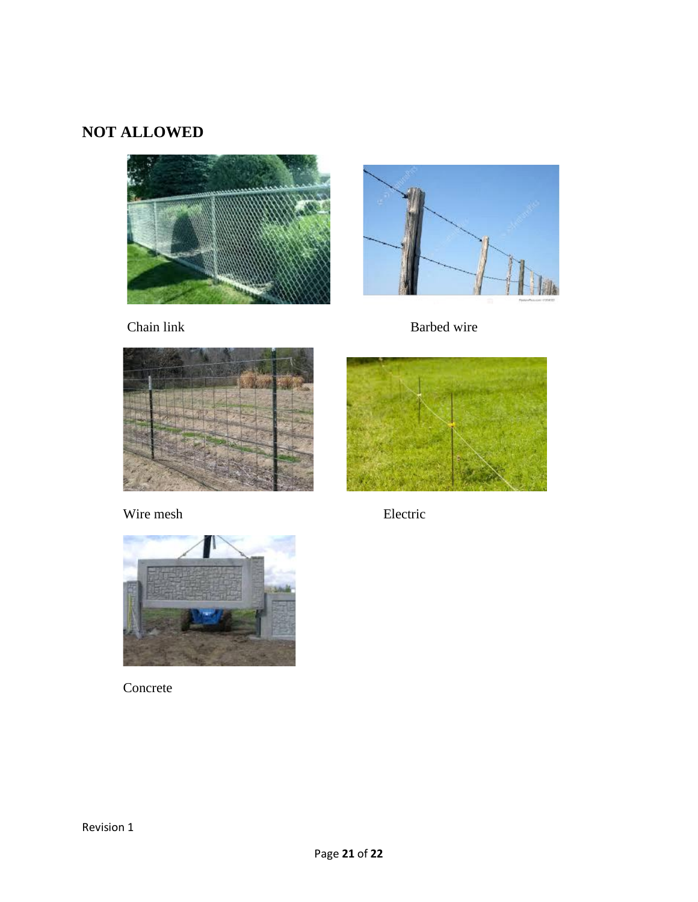## **NOT ALLOWED**









Wire mesh Electric



Concrete